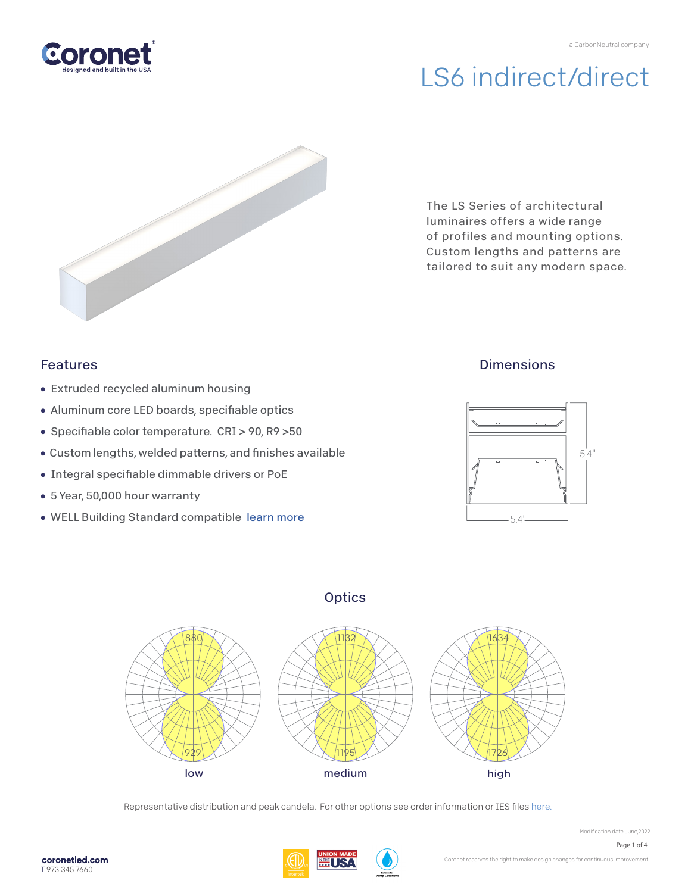



The LS Series of architectural luminaires offers a wide range of profiles and mounting options. Custom lengths and patterns are tailored to suit any modern space.

### Features

- Extruded recycled aluminum housing
- Aluminum core LED boards, specifiable optics
- Specifiable color temperature. CRI > 90, R9 > 50
- Custom lengths, welded patterns, and finishes available
- Integral specifiable dimmable drivers or PoE
- 5 Year, 50,000 hour warranty
- WELL Building Standard compatibl[e learn more](https://coronetled.com/well-v2-standard/)

### **Dimensions**







Representative distribution and peak candela. For other options see order information or IES file[s here.](https://coronetled.com/downloads/)



Modification date: June,2022 Page 1 of 4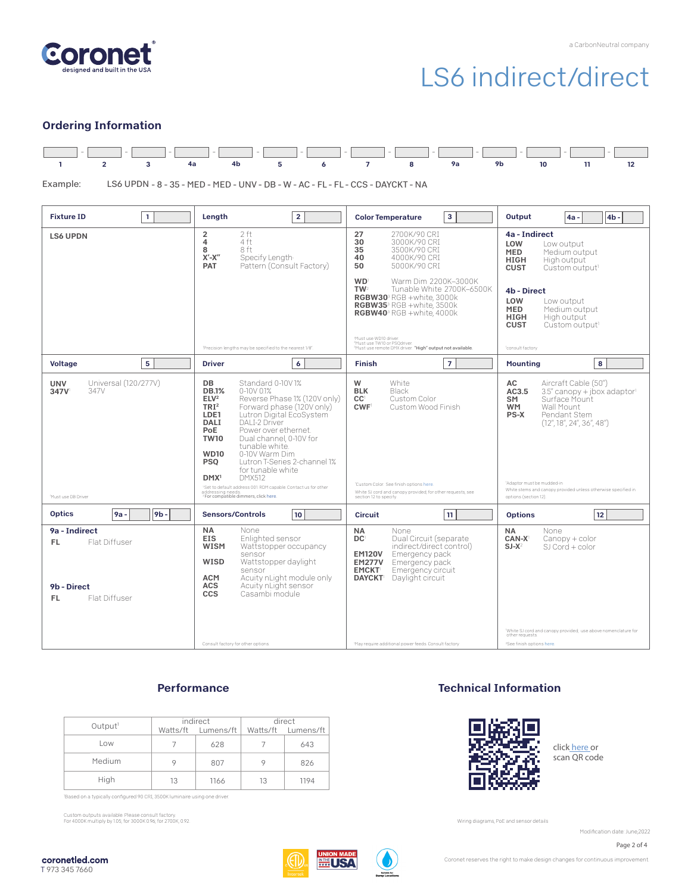

#### Ordering Information



LS6 UPDN - 8 - 35 - MED - MED - UNV - DB - W - AC - FL - FL - CCS - DAYCKT - NA Example:

| 1.<br><b>Fixture ID</b>                                                               | Length<br>$\overline{2}$                                                                                                                                                                                                                                                                                                                                                                                                                                                                                                                                                                                                | 3<br><b>Color Temperature</b>                                                                                                                                                                                                                                                                                  | Output<br>4 <sub>b</sub><br>$4a -$                                                                                                                                                                                                                                                                     |
|---------------------------------------------------------------------------------------|-------------------------------------------------------------------------------------------------------------------------------------------------------------------------------------------------------------------------------------------------------------------------------------------------------------------------------------------------------------------------------------------------------------------------------------------------------------------------------------------------------------------------------------------------------------------------------------------------------------------------|----------------------------------------------------------------------------------------------------------------------------------------------------------------------------------------------------------------------------------------------------------------------------------------------------------------|--------------------------------------------------------------------------------------------------------------------------------------------------------------------------------------------------------------------------------------------------------------------------------------------------------|
| <b>LS6 UPDN</b>                                                                       | 2 ft<br>$\overline{2}$<br>4 ft<br>4<br>8<br>8 ft<br>$X'$ - $X''$<br>Specify Lenath<br>Pattern (Consult Factory)<br><b>PAT</b>                                                                                                                                                                                                                                                                                                                                                                                                                                                                                           | 27<br>2700K/90 CRI<br>30<br>3000K/90 CRI<br>35<br>3500K/90 CRI<br>40<br>4000K/90 CRI<br>50<br>5000K/90 CRI                                                                                                                                                                                                     | 4a - Indirect<br>LOW<br>Low output<br><b>MED</b><br>Medium output<br><b>HIGH</b><br>High output<br><b>CUST</b><br>Custom output <sup>1</sup>                                                                                                                                                           |
|                                                                                       |                                                                                                                                                                                                                                                                                                                                                                                                                                                                                                                                                                                                                         | <b>WD</b><br>Warm Dim 2200K-3000K<br>TW <sup>2</sup><br>Tunable White 2700K-6500K<br>RGBW30 <sup>3</sup> RGB +white, 3000k<br>RGBW35 <sup>3</sup> RGB +white, 3500k<br>RGBW40 <sup>3</sup> RGB +white, 4000k                                                                                                   | 4b - Direct<br>LOW<br>Low output<br><b>MED</b><br>Medium output<br>High output<br><b>HIGH</b><br><b>CUST</b><br>Custom output <sup>1</sup>                                                                                                                                                             |
|                                                                                       | 'Precision lengths may be specified to the nearest 1/8'                                                                                                                                                                                                                                                                                                                                                                                                                                                                                                                                                                 | Must use WD10 driver.<br>rnust use word unver.<br>?Must use TW10 or PSQdriver.<br>?Must use remote DMX driver. <b>"High" output not available.</b>                                                                                                                                                             | 'consult factory                                                                                                                                                                                                                                                                                       |
| 5<br><b>Voltage</b>                                                                   | 6<br><b>Driver</b>                                                                                                                                                                                                                                                                                                                                                                                                                                                                                                                                                                                                      | $\overline{7}$<br><b>Finish</b>                                                                                                                                                                                                                                                                                | 8<br><b>Mounting</b>                                                                                                                                                                                                                                                                                   |
| Universal (120/277V)<br><b>UNV</b><br>347V<br>347V<br><sup>1</sup> Must use DB Driver | Standard 0-10V1%<br>DB<br><b>DB.1%</b><br>$0-10V$ $01%$<br>ELV <sup>2</sup><br>Reverse Phase 1% (120V only)<br>TRI <sup>2</sup><br>Forward phase (120V only)<br>Lutron Digital EcoSystem<br>LDE1<br>DAI I-2 Driver<br><b>DALI</b><br><b>PoE</b><br>Power over ethernet.<br><b>TW10</b><br>Dual channel, 0-10V for<br>tunable white.<br>0-10V Warm Dim<br><b>WD10</b><br><b>PSO</b><br>Lutron T-Series 2-channel 1%<br>for tunable white<br><b>DMX512</b><br>DMX <sup>1</sup><br>'Set to default address 001. RDM capable. Contact us for other<br>addressing needs.<br><sup>2</sup> For compatible dimmers, click here. | W<br>White<br><b>BLK</b><br>Black<br>Custom Color<br>CC <sup>1</sup><br>CWF<br>Custom Wood Finish<br>'Custom Color. See finish options here.<br>White SJ cord and canopy provided; for other requests, see<br>section 12 to specify.                                                                           | AC<br>Aircraft Cable (50")<br>AC3.5<br>3.5" canopy + jbox adaptor1<br>Surface Mount<br>SM<br>Wall Mount<br><b>WM</b><br>PS-X<br>Pendant Stem<br>(12'', 18'', 24'', 36'', 48'')<br>'Adaptor must be mudded-in<br>White stems and canopy provided unless otherwise specified in<br>options (section 12). |
| <b>Optics</b><br>9 <sub>b</sub><br>$9a -$                                             | <b>Sensors/Controls</b><br>10                                                                                                                                                                                                                                                                                                                                                                                                                                                                                                                                                                                           | 11<br>Circuit                                                                                                                                                                                                                                                                                                  | 12<br><b>Options</b>                                                                                                                                                                                                                                                                                   |
| 9a - Indirect<br>Flat Diffuser<br>FL.<br>9b - Direct<br>Flat Diffuser<br>FL.          | <b>NA</b><br>None<br><b>EIS</b><br>Enlighted sensor<br><b>WISM</b><br>Wattstopper occupancy<br>sensor<br><b>WISD</b><br>Wattstopper daylight<br>sensor<br>Acuity nLight module only<br><b>ACM</b><br><b>ACS</b><br>Acuity nLight sensor<br>CCS<br>Casambi module<br>Consult factory for other options.                                                                                                                                                                                                                                                                                                                  | <b>NA</b><br>None<br>DC <sup>1</sup><br>Dual Circuit (separate<br>indirect/direct control)<br>Emergency pack<br><b>EM120V</b><br><b>EM277V</b><br>Emergency pack<br><b>EMCKT</b><br>Emergency circuit<br>Daylight circuit<br><b>DAYCKT</b><br><sup>1</sup> May require additional power feeds. Consult factory | <b>NA</b><br>None<br>$CAN-X$<br>Canopy + color<br>$SJ-X^2$<br>$SI$ Cord + color<br>'White SJ cord and canopy provided; use above nomenclature for<br>other requests<br><sup>2</sup> See finish options here.                                                                                           |

#### **Performance**

| Output <sup>1</sup> | indirect<br>Watts/ft Lumens/ft |      | direct<br>Watts/ft Lumens/ft |      |
|---------------------|--------------------------------|------|------------------------------|------|
|                     |                                |      |                              |      |
| Low                 |                                | 628  |                              | 643  |
| Medium              |                                | 807  | 9                            | 826  |
| High                | 13                             | 1166 | 13                           | 1194 |

'Based on a typically configured 90 CRI, 3500K luminaire using one driver.

Custom outputs available. Please consult factory. For 4000K multiply by 1.05; for 3000K 0.96; for 2700K, 0.92.

### Technical Information



click [here or](https://coronetled.com/warranty-technical-info/) scan QR code

Wiring diagrams, PoE and sensor details

Modification date: June, 2022

Page 2 of 4





Coronet reserves the right to make design changes for continuous improvement.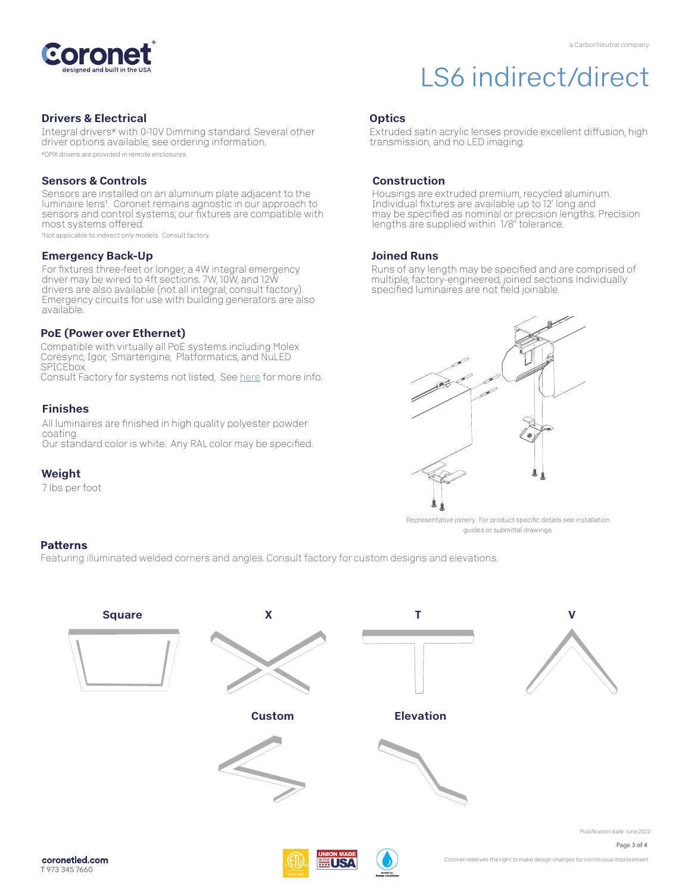

#### Drivers & Electrical

Integral drivers\* with 0-10V Dimming standard. Several other driver options available; see ordering information. \*DMX drivers are provided in remote enclosures.

#### Sensors & Controls

Sensors are installed on an aluminum plate adjacent to the luminaire lens1. Coronet remains agnostic in our approach to sensors and control systems; our fixtures are compatible with most systems offered.

1Not applicable to indirect only models. Consult factory.

#### Emergency Back-Up

For fixtures three-feet or longer, a 4W integral emergency driver may be wired to 4ft sections. 7W, 10W, and 12W drivers are also available (not all integral; consult factory). Emergency circuits for use with building generators are also available.

#### PoE (Power over Ethernet)

Compatible with virtually all PoE systems including Molex Coresync, Igor, Smartengine, Platformatics, and NuLED SPICEbox. Consult Factory for systems not listed, Se[e here](https://coronetled.com/warranty-technical-info/) for more info.

#### Finishes

All luminaires are finished in high quality polyester powder coating. Our standard color is white. Any RAL color may be specified.

#### Weight

7 lbs per foot

transmission, and no LED imaging.

#### Construction

**Optics** 

Housings are extruded premium, recycled aluminum. Individual fixtures are available up to 12' long and may be specified as nominal or precision lengths. Precision lengths are supplied within 1/8" tolerance.

Extruded satin acrylic lenses provide excellent diffusion, high

#### Joined Runs

Runs of any length may be specified and are comprised of multiple, factory-engineered, joined sections. Individually specified luminaires are not field joinable.



Representative joinery. For product specific details see installation guides or submittal drawings.

#### **Patterns**

Featuring illuminated welded corners and angles. Consult factory for custom designs and elevations.





Coronet reserves the right to make design changes for continuous improvement.